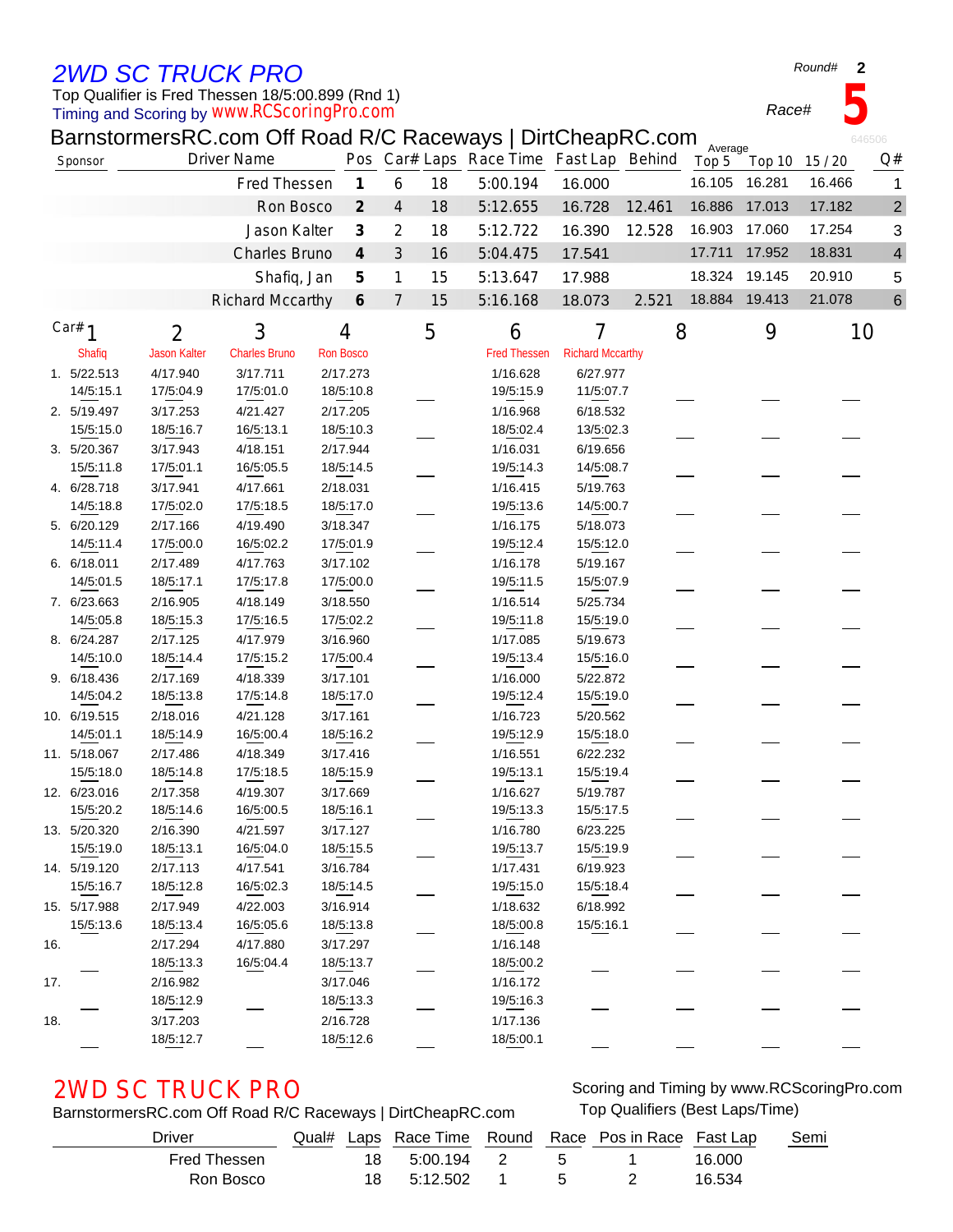## *2WD SC TRUCK PRO*

### Timing and Scoring by *www.RCScoringPro.com* Top Qualifier is Fred Thessen 18/5:00.899 (Rnd 1)

BarnstormersRC.com Off Road R/C Raceways | DirtCheapRC.com

| Sponsor |              | <b>Driver Name</b>  |                         |                             |                |    | Pos Car# Laps Race Time Fast Lap Behind |                         |        | Average<br>Top 5 | Top 10 15 / 20 |        | Q#             |
|---------|--------------|---------------------|-------------------------|-----------------------------|----------------|----|-----------------------------------------|-------------------------|--------|------------------|----------------|--------|----------------|
|         |              |                     | Fred Thessen            | $\boldsymbol{\mathcal{I}}$  | 6              | 18 | 5:00.194                                | 16.000                  |        | 16.105           | 16.281         | 16.466 | 1              |
|         |              |                     | Ron Bosco               | $\mathcal{Z}_{\mathcal{C}}$ | $\overline{4}$ | 18 | 5:12.655                                | 16.728                  | 12.461 | 16.886           | 17.013         | 17.182 | $\overline{c}$ |
|         |              |                     | Jason Kalter            | $\boldsymbol{\beta}$        | 2              | 18 | 5:12.722                                | 16.390                  | 12.528 | 16.903           | 17.060         | 17.254 | 3              |
|         |              |                     | Charles Bruno           | $\boldsymbol{4}$            | $\mathfrak{Z}$ | 16 | 5:04.475                                | 17.541                  |        | 17.711           | 17.952         | 18.831 | 4              |
|         |              |                     | Shafiq, Jan             | 5                           | 1              | 15 | 5:13.647                                | 17.988                  |        | 18.324           | 19.145         | 20.910 | 5              |
|         |              |                     | <b>Richard Mccarthy</b> | 6                           | $\overline{7}$ | 15 | 5:16.168                                | 18.073                  | 2.521  |                  | 18.884 19.413  | 21.078 | 6              |
|         |              |                     |                         |                             |                |    |                                         |                         |        |                  |                |        |                |
|         | Car# $1$     | $\overline{2}$      | 3                       | 4                           |                | 5  | 6                                       | 7                       | 8      |                  | 9              | 10     |                |
|         | Shafiq       | <b>Jason Kalter</b> | <b>Charles Bruno</b>    | <b>Ron Bosco</b>            |                |    | <b>Fred Thessen</b>                     | <b>Richard Mccarthy</b> |        |                  |                |        |                |
|         | 1. 5/22.513  | 4/17.940            | 3/17.711                | 2/17.273                    |                |    | 1/16.628                                | 6/27.977                |        |                  |                |        |                |
|         | 14/5:15.1    | 17/5:04.9           | 17/5:01.0               | 18/5:10.8                   |                |    | 19/5:15.9                               | 11/5:07.7               |        |                  |                |        |                |
|         | 2. 5/19.497  | 3/17.253            | 4/21.427                | 2/17.205                    |                |    | 1/16.968                                | 6/18.532                |        |                  |                |        |                |
|         | 15/5:15.0    | 18/5:16.7           | 16/5:13.1               | 18/5:10.3                   |                |    | 18/5:02.4                               | 13/5:02.3               |        |                  |                |        |                |
|         | 3. 5/20.367  | 3/17.943            | 4/18.151                | 2/17.944                    |                |    | 1/16.031                                | 6/19.656                |        |                  |                |        |                |
|         | 15/5:11.8    | 17/5:01.1           | 16/5:05.5               | 18/5:14.5                   |                |    | 19/5:14.3                               | 14/5:08.7               |        |                  |                |        |                |
|         | 4. 6/28.718  | 3/17.941            | 4/17.661                | 2/18.031                    |                |    | 1/16.415                                | 5/19.763                |        |                  |                |        |                |
|         | 14/5:18.8    | 17/5:02.0           | 17/5:18.5               | 18/5:17.0                   |                |    | 19/5:13.6                               | 14/5:00.7               |        |                  |                |        |                |
|         | 5. 6/20.129  | 2/17.166            | 4/19.490                | 3/18.347                    |                |    | 1/16.175                                | 5/18.073                |        |                  |                |        |                |
|         | 14/5:11.4    | 17/5:00.0           | 16/5:02.2               | 17/5:01.9                   |                |    | 19/5:12.4                               | 15/5:12.0               |        |                  |                |        |                |
|         | 6. 6/18.011  | 2/17.489            | 4/17.763                | 3/17.102                    |                |    | 1/16.178                                | 5/19.167                |        |                  |                |        |                |
|         | 14/5:01.5    | 18/5:17.1           | 17/5:17.8               | 17/5:00.0                   |                |    | 19/5:11.5                               | 15/5:07.9               |        |                  |                |        |                |
|         | 7. 6/23.663  | 2/16.905            | 4/18.149                | 3/18.550                    |                |    | 1/16.514                                | 5/25.734                |        |                  |                |        |                |
|         | 14/5:05.8    | 18/5:15.3           | 17/5:16.5               | 17/5:02.2                   |                |    | 19/5:11.8                               | 15/5:19.0               |        |                  |                |        |                |
|         | 8. 6/24.287  | 2/17.125            | 4/17.979                | 3/16.960                    |                |    | 1/17.085                                | 5/19.673                |        |                  |                |        |                |
|         | 14/5:10.0    | 18/5:14.4           | 17/5:15.2               | 17/5:00.4                   |                |    | 19/5:13.4                               | 15/5:16.0               |        |                  |                |        |                |
|         | 9. 6/18.436  | 2/17.169            | 4/18.339                | 3/17.101                    |                |    | 1/16.000                                | 5/22.872                |        |                  |                |        |                |
|         | 14/5:04.2    | 18/5:13.8           | 17/5:14.8               | 18/5:17.0                   |                |    | 19/5:12.4                               | 15/5:19.0               |        |                  |                |        |                |
|         | 10. 6/19.515 | 2/18.016            | 4/21.128                | 3/17.161                    |                |    | 1/16.723                                | 5/20.562                |        |                  |                |        |                |
|         | 14/5:01.1    | 18/5:14.9           | 16/5:00.4               | 18/5:16.2                   |                |    | 19/5:12.9                               | 15/5:18.0               |        |                  |                |        |                |
|         | 11. 5/18.067 | 2/17.486            | 4/18.349                | 3/17.416                    |                |    | 1/16.551                                | 6/22.232                |        |                  |                |        |                |
|         | 15/5:18.0    | 18/5:14.8           | 17/5:18.5               | 18/5:15.9                   |                |    | 19/5:13.1                               | 15/5:19.4               |        |                  |                |        |                |
|         | 12. 6/23.016 | 2/17.358            | 4/19.307                | 3/17.669                    |                |    | 1/16.627                                | 5/19.787                |        |                  |                |        |                |
|         | 15/5:20.2    | 18/5:14.6           | 16/5:00.5               | 18/5:16.1                   |                |    | 19/5:13.3                               | 15/5:17.5               |        |                  |                |        |                |
|         | 13. 5/20.320 | 2/16.390            | 4/21.597                | 3/17.127                    |                |    | 1/16.780                                | 6/23.225                |        |                  |                |        |                |
|         | 15/5:19.0    | 18/5:13.1           | 16/5:04.0               | 18/5:15.5                   |                |    | 19/5:13.7                               | 15/5:19.9               |        |                  |                |        |                |
|         | 14. 5/19.120 | 2/17.113            | 4/17.541                | 3/16.784                    |                |    | 1/17.431                                | 6/19.923                |        |                  |                |        |                |
|         | 15/5:16.7    | 18/5:12.8           | 16/5:02.3               | 18/5:14.5                   |                |    | 19/5:15.0                               | 15/5:18.4               |        |                  |                |        |                |
|         | 15. 5/17.988 | 2/17.949            | 4/22.003                | 3/16.914                    |                |    | 1/18.632                                | 6/18.992                |        |                  |                |        |                |
|         | 15/5:13.6    | 18/5:13.4           | 16/5:05.6               | 18/5:13.8                   |                |    | 18/5:00.8                               | 15/5:16.1               |        |                  |                |        |                |
| 16.     |              | 2/17.294            | 4/17.880                | 3/17.297                    |                |    | 1/16.148                                |                         |        |                  |                |        |                |
|         |              | 18/5:13.3           | 16/5:04.4               | 18/5:13.7                   |                |    | 18/5:00.2                               |                         |        |                  |                |        |                |
| 17.     |              | 2/16.982            |                         | 3/17.046                    |                |    | 1/16.172                                |                         |        |                  |                |        |                |
|         |              | 18/5:12.9           |                         | 18/5:13.3                   |                |    | 19/5:16.3                               |                         |        |                  |                |        |                |
| 18.     |              | 3/17.203            |                         | 2/16.728                    |                |    | 1/17.136                                |                         |        |                  |                |        |                |
|         |              | 18/5:12.7           |                         | 18/5:12.6                   |                |    | 18/5:00.1                               |                         |        |                  |                |        |                |

BarnstormersRC.com Off Road R/C Raceways | DirtCheapRC.com Top Qualifiers (Best Laps/Time)

2WD SC TRUCK PRO Scoring and Timing by www.RCScoringPro.com

| Driver       | Qual# |     |            |    | Laps Race Time Round Race Pos in Race Fast Lap |        | Semi |
|--------------|-------|-----|------------|----|------------------------------------------------|--------|------|
| Fred Thessen |       | 18  | 5:00.194 2 | -5 |                                                | 16.000 |      |
| Ron Bosco    |       | 18. | 5:12.502 1 | 5  |                                                | 16.534 |      |

646506

*Race#* **5**